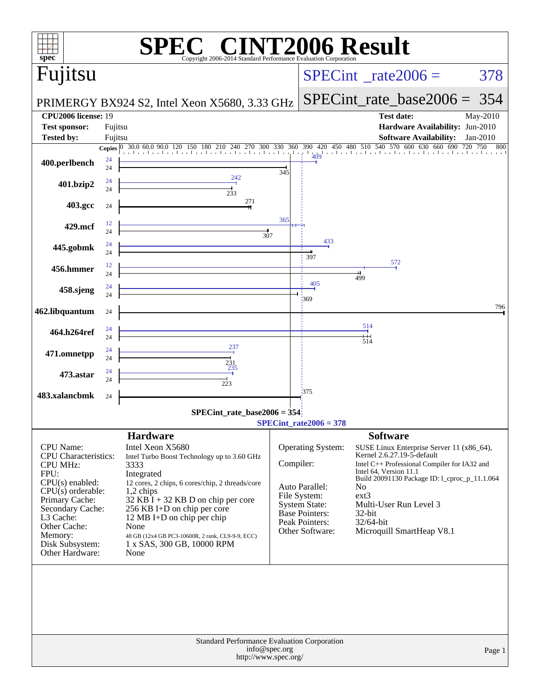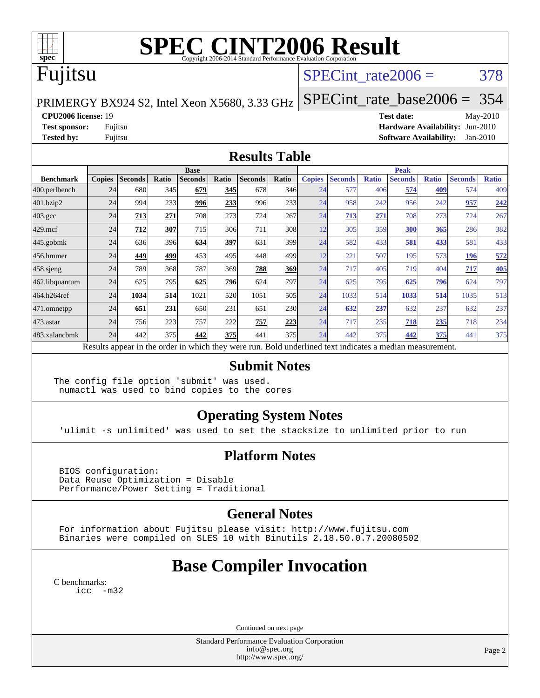

# **[SPEC CINT2006 Result](http://www.spec.org/auto/cpu2006/Docs/result-fields.html#SPECCINT2006Result)**

## Fujitsu

### SPECint rate $2006 = 378$

PRIMERGY BX924 S2, Intel Xeon X5680, 3.33 GHz

[SPECint\\_rate\\_base2006 =](http://www.spec.org/auto/cpu2006/Docs/result-fields.html#SPECintratebase2006) 354

**[CPU2006 license:](http://www.spec.org/auto/cpu2006/Docs/result-fields.html#CPU2006license)** 19 **[Test date:](http://www.spec.org/auto/cpu2006/Docs/result-fields.html#Testdate)** May-2010 **[Test sponsor:](http://www.spec.org/auto/cpu2006/Docs/result-fields.html#Testsponsor)** Fujitsu **[Hardware Availability:](http://www.spec.org/auto/cpu2006/Docs/result-fields.html#HardwareAvailability)** Jun-2010 **[Tested by:](http://www.spec.org/auto/cpu2006/Docs/result-fields.html#Testedby)** Fujitsu **[Software Availability:](http://www.spec.org/auto/cpu2006/Docs/result-fields.html#SoftwareAvailability)** Jan-2010

#### **[Results Table](http://www.spec.org/auto/cpu2006/Docs/result-fields.html#ResultsTable)**

|                    | <b>Base</b>   |                |       |                |            |                                                                                                          |                  |               | <b>Peak</b>    |              |                |              |                |              |  |
|--------------------|---------------|----------------|-------|----------------|------------|----------------------------------------------------------------------------------------------------------|------------------|---------------|----------------|--------------|----------------|--------------|----------------|--------------|--|
| <b>Benchmark</b>   | <b>Copies</b> | <b>Seconds</b> | Ratio | <b>Seconds</b> | Ratio      | <b>Seconds</b>                                                                                           | Ratio            | <b>Copies</b> | <b>Seconds</b> | <b>Ratio</b> | <b>Seconds</b> | <b>Ratio</b> | <b>Seconds</b> | <b>Ratio</b> |  |
| 400.perlbench      | 24            | 680            | 345   | 679            | 345        | 678                                                                                                      | 346              | 24            | 577            | 406          | 574            | 409          | 574            | 409          |  |
| 401.bzip2          | 24            | 994            | 233   | 996            | 233        | 996                                                                                                      | 233              | 24            | 958            | 242          | 956            | 242          | 957            | 242          |  |
| $403.\mathrm{gcc}$ | 24            | 713            | 271   | 708            | 273        | 724                                                                                                      | 267              | 24            | 713            | 271          | 708            | 273          | 724            | 267          |  |
| $429$ .mcf         | 24            | 712            | 307   | 715            | 306        | 711                                                                                                      | 308              | 12            | 305            | 359          | 300            | 365          | 286            | 382          |  |
| $445$ .gobm $k$    | 24            | 636            | 396   | 634            | 397        | 631                                                                                                      | 399 <sub>l</sub> | 24            | 582            | 433          | 581            | 433          | 581            | 433          |  |
| 456.hmmer          | 24            | 449            | 499   | 453            | 495        | 448                                                                                                      | 499              | 12            | 221            | 507          | 195            | 573          | 196            | 572          |  |
| $458$ .sjeng       | 24            | 789            | 368   | 787            | 369        | 788                                                                                                      | 369              | 24            | 717            | 405          | 719            | 404          | 717            | <b>405</b>   |  |
| 462.libquantum     | 24            | 625            | 795   | 625            | 796        | 624                                                                                                      | 797              | 24            | 625            | 795          | 625            | <u>796</u>   | 624            | 797          |  |
| 464.h264ref        | 24            | 1034           | 514   | 1021           | <b>520</b> | 1051                                                                                                     | 505              | 24            | 1033           | 514          | 1033           | 514          | 1035           | 513          |  |
| 471.omnetpp        | 24            | 651            | 231   | 650            | 231        | 651                                                                                                      | 230              | 24            | 632            | 237          | 632            | 237          | 632            | 237          |  |
| 473.astar          | 24            | 756            | 223   | 757            | 222        | 757                                                                                                      | 223              | 24            | 717            | 235          | 718            | 235          | 718            | 234          |  |
| 483.xalancbmk      | 24            | 442            | 375   | 442            | 375        | 441                                                                                                      | 375              | 24            | 442            | 375          | 442            | 375          | 441            | 375          |  |
|                    |               |                |       |                |            | Results appear in the order in which they were run. Bold underlined text indicates a median measurement. |                  |               |                |              |                |              |                |              |  |

#### **[Submit Notes](http://www.spec.org/auto/cpu2006/Docs/result-fields.html#SubmitNotes)**

The config file option 'submit' was used. numactl was used to bind copies to the cores

### **[Operating System Notes](http://www.spec.org/auto/cpu2006/Docs/result-fields.html#OperatingSystemNotes)**

'ulimit -s unlimited' was used to set the stacksize to unlimited prior to run

### **[Platform Notes](http://www.spec.org/auto/cpu2006/Docs/result-fields.html#PlatformNotes)**

 BIOS configuration: Data Reuse Optimization = Disable Performance/Power Setting = Traditional

### **[General Notes](http://www.spec.org/auto/cpu2006/Docs/result-fields.html#GeneralNotes)**

 For information about Fujitsu please visit: <http://www.fujitsu.com> Binaries were compiled on SLES 10 with Binutils 2.18.50.0.7.20080502

## **[Base Compiler Invocation](http://www.spec.org/auto/cpu2006/Docs/result-fields.html#BaseCompilerInvocation)**

[C benchmarks](http://www.spec.org/auto/cpu2006/Docs/result-fields.html#Cbenchmarks): [icc -m32](http://www.spec.org/cpu2006/results/res2010q3/cpu2006-20100618-11735.flags.html#user_CCbase_intel_icc_32bit_5ff4a39e364c98233615fdd38438c6f2)

Continued on next page

Standard Performance Evaluation Corporation [info@spec.org](mailto:info@spec.org) <http://www.spec.org/>

Page 2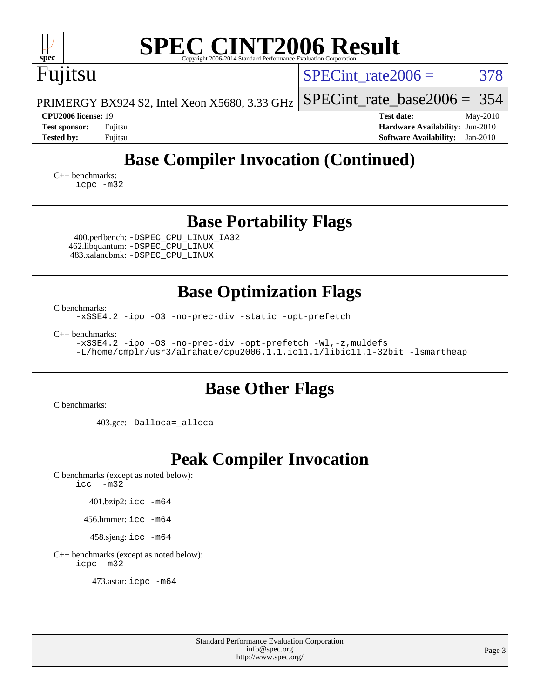| <b>SPEC CINT2006 Result</b>                                                                                                                                        |                                                                                                                 |  |  |  |  |  |  |  |
|--------------------------------------------------------------------------------------------------------------------------------------------------------------------|-----------------------------------------------------------------------------------------------------------------|--|--|--|--|--|--|--|
| spec <sup>®</sup><br>Copyright 2006-2014 Standard Performance Evaluation Corporation<br>Fujitsu                                                                    | 378<br>$SPECint rate 2006 =$                                                                                    |  |  |  |  |  |  |  |
| PRIMERGY BX924 S2, Intel Xeon X5680, 3.33 GHz                                                                                                                      | $SPECint_rate\_base2006 = 354$                                                                                  |  |  |  |  |  |  |  |
| <b>CPU2006 license: 19</b><br><b>Test sponsor:</b><br>Fujitsu<br><b>Tested by:</b><br>Fujitsu                                                                      | <b>Test date:</b><br>May-2010<br>Hardware Availability: Jun-2010<br><b>Software Availability:</b><br>$Jan-2010$ |  |  |  |  |  |  |  |
| <b>Base Compiler Invocation (Continued)</b><br>$C_{++}$ benchmarks:<br>icpc -m32                                                                                   |                                                                                                                 |  |  |  |  |  |  |  |
| <b>Base Portability Flags</b><br>400.perlbench: -DSPEC_CPU_LINUX_IA32<br>462.libquantum: -DSPEC_CPU_LINUX<br>483.xalancbmk: - DSPEC CPU LINUX                      |                                                                                                                 |  |  |  |  |  |  |  |
| <b>Base Optimization Flags</b>                                                                                                                                     |                                                                                                                 |  |  |  |  |  |  |  |
| C benchmarks:<br>-xSSE4.2 -ipo -03 -no-prec-div -static -opt-prefetch                                                                                              |                                                                                                                 |  |  |  |  |  |  |  |
| $C_{++}$ benchmarks:<br>-xSSE4.2 -ipo -03 -no-prec-div -opt-prefetch -Wl,-z, muldefs<br>-L/home/cmplr/usr3/alrahate/cpu2006.1.1.ic11.1/libic11.1-32bit -lsmartheap |                                                                                                                 |  |  |  |  |  |  |  |
| <b>Base Other Flags</b>                                                                                                                                            |                                                                                                                 |  |  |  |  |  |  |  |
| C benchmarks:<br>403.gcc: -Dalloca=_alloca                                                                                                                         |                                                                                                                 |  |  |  |  |  |  |  |
| <b>Peak Compiler Invocation</b><br>C benchmarks (except as noted below):<br>$\text{icc}$ -m32                                                                      |                                                                                                                 |  |  |  |  |  |  |  |
| 401.bzip2: icc -m64<br>456.hmmer: icc -m64                                                                                                                         |                                                                                                                 |  |  |  |  |  |  |  |
| 458.sjeng: icc -m64                                                                                                                                                |                                                                                                                 |  |  |  |  |  |  |  |
| C++ benchmarks (except as noted below):<br>icpc -m32                                                                                                               |                                                                                                                 |  |  |  |  |  |  |  |
| 473.astar: icpc -m64                                                                                                                                               |                                                                                                                 |  |  |  |  |  |  |  |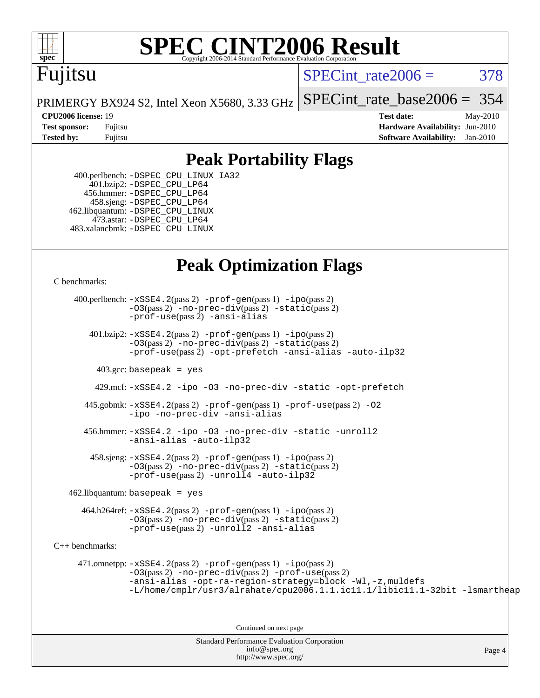

# **[SPEC CINT2006 Result](http://www.spec.org/auto/cpu2006/Docs/result-fields.html#SPECCINT2006Result)**

# Fujitsu

SPECint rate $2006 = 378$ 

[SPECint\\_rate\\_base2006 =](http://www.spec.org/auto/cpu2006/Docs/result-fields.html#SPECintratebase2006) 354

PRIMERGY BX924 S2, Intel Xeon X5680, 3.33 GHz

**[CPU2006 license:](http://www.spec.org/auto/cpu2006/Docs/result-fields.html#CPU2006license)** 19 **[Test date:](http://www.spec.org/auto/cpu2006/Docs/result-fields.html#Testdate)** May-2010 **[Test sponsor:](http://www.spec.org/auto/cpu2006/Docs/result-fields.html#Testsponsor)** Fujitsu **[Hardware Availability:](http://www.spec.org/auto/cpu2006/Docs/result-fields.html#HardwareAvailability)** Jun-2010 **[Tested by:](http://www.spec.org/auto/cpu2006/Docs/result-fields.html#Testedby)** Fujitsu **[Software Availability:](http://www.spec.org/auto/cpu2006/Docs/result-fields.html#SoftwareAvailability)** Jan-2010

### **[Peak Portability Flags](http://www.spec.org/auto/cpu2006/Docs/result-fields.html#PeakPortabilityFlags)**

 400.perlbench: [-DSPEC\\_CPU\\_LINUX\\_IA32](http://www.spec.org/cpu2006/results/res2010q3/cpu2006-20100618-11735.flags.html#b400.perlbench_peakCPORTABILITY_DSPEC_CPU_LINUX_IA32) 401.bzip2: [-DSPEC\\_CPU\\_LP64](http://www.spec.org/cpu2006/results/res2010q3/cpu2006-20100618-11735.flags.html#suite_peakCPORTABILITY401_bzip2_DSPEC_CPU_LP64) 456.hmmer: [-DSPEC\\_CPU\\_LP64](http://www.spec.org/cpu2006/results/res2010q3/cpu2006-20100618-11735.flags.html#suite_peakCPORTABILITY456_hmmer_DSPEC_CPU_LP64) 458.sjeng: [-DSPEC\\_CPU\\_LP64](http://www.spec.org/cpu2006/results/res2010q3/cpu2006-20100618-11735.flags.html#suite_peakCPORTABILITY458_sjeng_DSPEC_CPU_LP64) 462.libquantum: [-DSPEC\\_CPU\\_LINUX](http://www.spec.org/cpu2006/results/res2010q3/cpu2006-20100618-11735.flags.html#b462.libquantum_peakCPORTABILITY_DSPEC_CPU_LINUX) 473.astar: [-DSPEC\\_CPU\\_LP64](http://www.spec.org/cpu2006/results/res2010q3/cpu2006-20100618-11735.flags.html#suite_peakCXXPORTABILITY473_astar_DSPEC_CPU_LP64) 483.xalancbmk: [-DSPEC\\_CPU\\_LINUX](http://www.spec.org/cpu2006/results/res2010q3/cpu2006-20100618-11735.flags.html#b483.xalancbmk_peakCXXPORTABILITY_DSPEC_CPU_LINUX)

## **[Peak Optimization Flags](http://www.spec.org/auto/cpu2006/Docs/result-fields.html#PeakOptimizationFlags)**

[C benchmarks](http://www.spec.org/auto/cpu2006/Docs/result-fields.html#Cbenchmarks):

Standard Performance Evaluation Corporation 400.perlbench: [-xSSE4.2](http://www.spec.org/cpu2006/results/res2010q3/cpu2006-20100618-11735.flags.html#user_peakPASS2_CFLAGSPASS2_LDCFLAGS400_perlbench_f-xSSE42_f91528193cf0b216347adb8b939d4107)(pass 2) [-prof-gen](http://www.spec.org/cpu2006/results/res2010q3/cpu2006-20100618-11735.flags.html#user_peakPASS1_CFLAGSPASS1_LDCFLAGS400_perlbench_prof_gen_e43856698f6ca7b7e442dfd80e94a8fc)(pass 1) [-ipo](http://www.spec.org/cpu2006/results/res2010q3/cpu2006-20100618-11735.flags.html#user_peakPASS2_CFLAGSPASS2_LDCFLAGS400_perlbench_f-ipo)(pass 2) [-O3](http://www.spec.org/cpu2006/results/res2010q3/cpu2006-20100618-11735.flags.html#user_peakPASS2_CFLAGSPASS2_LDCFLAGS400_perlbench_f-O3)(pass 2) [-no-prec-div](http://www.spec.org/cpu2006/results/res2010q3/cpu2006-20100618-11735.flags.html#user_peakPASS2_CFLAGSPASS2_LDCFLAGS400_perlbench_f-no-prec-div)(pass 2) [-static](http://www.spec.org/cpu2006/results/res2010q3/cpu2006-20100618-11735.flags.html#user_peakPASS2_CFLAGSPASS2_LDCFLAGS400_perlbench_f-static)(pass 2) [-prof-use](http://www.spec.org/cpu2006/results/res2010q3/cpu2006-20100618-11735.flags.html#user_peakPASS2_CFLAGSPASS2_LDCFLAGS400_perlbench_prof_use_bccf7792157ff70d64e32fe3e1250b55)(pass 2) [-ansi-alias](http://www.spec.org/cpu2006/results/res2010q3/cpu2006-20100618-11735.flags.html#user_peakCOPTIMIZE400_perlbench_f-ansi-alias) 401.bzip2: [-xSSE4.2](http://www.spec.org/cpu2006/results/res2010q3/cpu2006-20100618-11735.flags.html#user_peakPASS2_CFLAGSPASS2_LDCFLAGS401_bzip2_f-xSSE42_f91528193cf0b216347adb8b939d4107)(pass 2) [-prof-gen](http://www.spec.org/cpu2006/results/res2010q3/cpu2006-20100618-11735.flags.html#user_peakPASS1_CFLAGSPASS1_LDCFLAGS401_bzip2_prof_gen_e43856698f6ca7b7e442dfd80e94a8fc)(pass 1) [-ipo](http://www.spec.org/cpu2006/results/res2010q3/cpu2006-20100618-11735.flags.html#user_peakPASS2_CFLAGSPASS2_LDCFLAGS401_bzip2_f-ipo)(pass 2) [-O3](http://www.spec.org/cpu2006/results/res2010q3/cpu2006-20100618-11735.flags.html#user_peakPASS2_CFLAGSPASS2_LDCFLAGS401_bzip2_f-O3)(pass 2) [-no-prec-div](http://www.spec.org/cpu2006/results/res2010q3/cpu2006-20100618-11735.flags.html#user_peakPASS2_CFLAGSPASS2_LDCFLAGS401_bzip2_f-no-prec-div)(pass 2) [-static](http://www.spec.org/cpu2006/results/res2010q3/cpu2006-20100618-11735.flags.html#user_peakPASS2_CFLAGSPASS2_LDCFLAGS401_bzip2_f-static)(pass 2) [-prof-use](http://www.spec.org/cpu2006/results/res2010q3/cpu2006-20100618-11735.flags.html#user_peakPASS2_CFLAGSPASS2_LDCFLAGS401_bzip2_prof_use_bccf7792157ff70d64e32fe3e1250b55)(pass 2) [-opt-prefetch](http://www.spec.org/cpu2006/results/res2010q3/cpu2006-20100618-11735.flags.html#user_peakCOPTIMIZE401_bzip2_f-opt-prefetch) [-ansi-alias](http://www.spec.org/cpu2006/results/res2010q3/cpu2006-20100618-11735.flags.html#user_peakCOPTIMIZE401_bzip2_f-ansi-alias) [-auto-ilp32](http://www.spec.org/cpu2006/results/res2010q3/cpu2006-20100618-11735.flags.html#user_peakCOPTIMIZE401_bzip2_f-auto-ilp32)  $403.\text{gcc: basepeak}$  = yes 429.mcf: [-xSSE4.2](http://www.spec.org/cpu2006/results/res2010q3/cpu2006-20100618-11735.flags.html#user_peakCOPTIMIZE429_mcf_f-xSSE42_f91528193cf0b216347adb8b939d4107) [-ipo](http://www.spec.org/cpu2006/results/res2010q3/cpu2006-20100618-11735.flags.html#user_peakCOPTIMIZE429_mcf_f-ipo) [-O3](http://www.spec.org/cpu2006/results/res2010q3/cpu2006-20100618-11735.flags.html#user_peakCOPTIMIZE429_mcf_f-O3) [-no-prec-div](http://www.spec.org/cpu2006/results/res2010q3/cpu2006-20100618-11735.flags.html#user_peakCOPTIMIZE429_mcf_f-no-prec-div) [-static](http://www.spec.org/cpu2006/results/res2010q3/cpu2006-20100618-11735.flags.html#user_peakCOPTIMIZE429_mcf_f-static) [-opt-prefetch](http://www.spec.org/cpu2006/results/res2010q3/cpu2006-20100618-11735.flags.html#user_peakCOPTIMIZE429_mcf_f-opt-prefetch) 445.gobmk: [-xSSE4.2](http://www.spec.org/cpu2006/results/res2010q3/cpu2006-20100618-11735.flags.html#user_peakPASS2_CFLAGSPASS2_LDCFLAGS445_gobmk_f-xSSE42_f91528193cf0b216347adb8b939d4107)(pass 2) [-prof-gen](http://www.spec.org/cpu2006/results/res2010q3/cpu2006-20100618-11735.flags.html#user_peakPASS1_CFLAGSPASS1_LDCFLAGS445_gobmk_prof_gen_e43856698f6ca7b7e442dfd80e94a8fc)(pass 1) [-prof-use](http://www.spec.org/cpu2006/results/res2010q3/cpu2006-20100618-11735.flags.html#user_peakPASS2_CFLAGSPASS2_LDCFLAGS445_gobmk_prof_use_bccf7792157ff70d64e32fe3e1250b55)(pass 2) [-O2](http://www.spec.org/cpu2006/results/res2010q3/cpu2006-20100618-11735.flags.html#user_peakCOPTIMIZE445_gobmk_f-O2) [-ipo](http://www.spec.org/cpu2006/results/res2010q3/cpu2006-20100618-11735.flags.html#user_peakCOPTIMIZE445_gobmk_f-ipo) [-no-prec-div](http://www.spec.org/cpu2006/results/res2010q3/cpu2006-20100618-11735.flags.html#user_peakCOPTIMIZE445_gobmk_f-no-prec-div) [-ansi-alias](http://www.spec.org/cpu2006/results/res2010q3/cpu2006-20100618-11735.flags.html#user_peakCOPTIMIZE445_gobmk_f-ansi-alias) 456.hmmer: [-xSSE4.2](http://www.spec.org/cpu2006/results/res2010q3/cpu2006-20100618-11735.flags.html#user_peakCOPTIMIZE456_hmmer_f-xSSE42_f91528193cf0b216347adb8b939d4107) [-ipo](http://www.spec.org/cpu2006/results/res2010q3/cpu2006-20100618-11735.flags.html#user_peakCOPTIMIZE456_hmmer_f-ipo) [-O3](http://www.spec.org/cpu2006/results/res2010q3/cpu2006-20100618-11735.flags.html#user_peakCOPTIMIZE456_hmmer_f-O3) [-no-prec-div](http://www.spec.org/cpu2006/results/res2010q3/cpu2006-20100618-11735.flags.html#user_peakCOPTIMIZE456_hmmer_f-no-prec-div) [-static](http://www.spec.org/cpu2006/results/res2010q3/cpu2006-20100618-11735.flags.html#user_peakCOPTIMIZE456_hmmer_f-static) [-unroll2](http://www.spec.org/cpu2006/results/res2010q3/cpu2006-20100618-11735.flags.html#user_peakCOPTIMIZE456_hmmer_f-unroll_784dae83bebfb236979b41d2422d7ec2) [-ansi-alias](http://www.spec.org/cpu2006/results/res2010q3/cpu2006-20100618-11735.flags.html#user_peakCOPTIMIZE456_hmmer_f-ansi-alias) [-auto-ilp32](http://www.spec.org/cpu2006/results/res2010q3/cpu2006-20100618-11735.flags.html#user_peakCOPTIMIZE456_hmmer_f-auto-ilp32)  $458 \text{.}$  sjeng:  $-xSSE4$ .  $2(\text{pass 2})$  -prof-qen(pass 1) [-ipo](http://www.spec.org/cpu2006/results/res2010q3/cpu2006-20100618-11735.flags.html#user_peakPASS2_CFLAGSPASS2_LDCFLAGS458_sjeng_f-ipo)(pass 2) [-O3](http://www.spec.org/cpu2006/results/res2010q3/cpu2006-20100618-11735.flags.html#user_peakPASS2_CFLAGSPASS2_LDCFLAGS458_sjeng_f-O3)(pass 2) [-no-prec-div](http://www.spec.org/cpu2006/results/res2010q3/cpu2006-20100618-11735.flags.html#user_peakPASS2_CFLAGSPASS2_LDCFLAGS458_sjeng_f-no-prec-div)(pass 2) [-static](http://www.spec.org/cpu2006/results/res2010q3/cpu2006-20100618-11735.flags.html#user_peakPASS2_CFLAGSPASS2_LDCFLAGS458_sjeng_f-static)(pass 2) [-prof-use](http://www.spec.org/cpu2006/results/res2010q3/cpu2006-20100618-11735.flags.html#user_peakPASS2_CFLAGSPASS2_LDCFLAGS458_sjeng_prof_use_bccf7792157ff70d64e32fe3e1250b55)(pass 2) [-unroll4](http://www.spec.org/cpu2006/results/res2010q3/cpu2006-20100618-11735.flags.html#user_peakCOPTIMIZE458_sjeng_f-unroll_4e5e4ed65b7fd20bdcd365bec371b81f) [-auto-ilp32](http://www.spec.org/cpu2006/results/res2010q3/cpu2006-20100618-11735.flags.html#user_peakCOPTIMIZE458_sjeng_f-auto-ilp32)  $462$ .libquantum: basepeak = yes 464.h264ref: [-xSSE4.2](http://www.spec.org/cpu2006/results/res2010q3/cpu2006-20100618-11735.flags.html#user_peakPASS2_CFLAGSPASS2_LDCFLAGS464_h264ref_f-xSSE42_f91528193cf0b216347adb8b939d4107)(pass 2) [-prof-gen](http://www.spec.org/cpu2006/results/res2010q3/cpu2006-20100618-11735.flags.html#user_peakPASS1_CFLAGSPASS1_LDCFLAGS464_h264ref_prof_gen_e43856698f6ca7b7e442dfd80e94a8fc)(pass 1) [-ipo](http://www.spec.org/cpu2006/results/res2010q3/cpu2006-20100618-11735.flags.html#user_peakPASS2_CFLAGSPASS2_LDCFLAGS464_h264ref_f-ipo)(pass 2) [-O3](http://www.spec.org/cpu2006/results/res2010q3/cpu2006-20100618-11735.flags.html#user_peakPASS2_CFLAGSPASS2_LDCFLAGS464_h264ref_f-O3)(pass 2) [-no-prec-div](http://www.spec.org/cpu2006/results/res2010q3/cpu2006-20100618-11735.flags.html#user_peakPASS2_CFLAGSPASS2_LDCFLAGS464_h264ref_f-no-prec-div)(pass 2) [-static](http://www.spec.org/cpu2006/results/res2010q3/cpu2006-20100618-11735.flags.html#user_peakPASS2_CFLAGSPASS2_LDCFLAGS464_h264ref_f-static)(pass 2) [-prof-use](http://www.spec.org/cpu2006/results/res2010q3/cpu2006-20100618-11735.flags.html#user_peakPASS2_CFLAGSPASS2_LDCFLAGS464_h264ref_prof_use_bccf7792157ff70d64e32fe3e1250b55)(pass 2) [-unroll2](http://www.spec.org/cpu2006/results/res2010q3/cpu2006-20100618-11735.flags.html#user_peakCOPTIMIZE464_h264ref_f-unroll_784dae83bebfb236979b41d2422d7ec2) [-ansi-alias](http://www.spec.org/cpu2006/results/res2010q3/cpu2006-20100618-11735.flags.html#user_peakCOPTIMIZE464_h264ref_f-ansi-alias) [C++ benchmarks:](http://www.spec.org/auto/cpu2006/Docs/result-fields.html#CXXbenchmarks) 471.omnetpp: [-xSSE4.2](http://www.spec.org/cpu2006/results/res2010q3/cpu2006-20100618-11735.flags.html#user_peakPASS2_CXXFLAGSPASS2_LDCXXFLAGS471_omnetpp_f-xSSE42_f91528193cf0b216347adb8b939d4107)(pass 2) [-prof-gen](http://www.spec.org/cpu2006/results/res2010q3/cpu2006-20100618-11735.flags.html#user_peakPASS1_CXXFLAGSPASS1_LDCXXFLAGS471_omnetpp_prof_gen_e43856698f6ca7b7e442dfd80e94a8fc)(pass 1) [-ipo](http://www.spec.org/cpu2006/results/res2010q3/cpu2006-20100618-11735.flags.html#user_peakPASS2_CXXFLAGSPASS2_LDCXXFLAGS471_omnetpp_f-ipo)(pass 2) [-O3](http://www.spec.org/cpu2006/results/res2010q3/cpu2006-20100618-11735.flags.html#user_peakPASS2_CXXFLAGSPASS2_LDCXXFLAGS471_omnetpp_f-O3)(pass 2) [-no-prec-div](http://www.spec.org/cpu2006/results/res2010q3/cpu2006-20100618-11735.flags.html#user_peakPASS2_CXXFLAGSPASS2_LDCXXFLAGS471_omnetpp_f-no-prec-div)(pass 2) [-prof-use](http://www.spec.org/cpu2006/results/res2010q3/cpu2006-20100618-11735.flags.html#user_peakPASS2_CXXFLAGSPASS2_LDCXXFLAGS471_omnetpp_prof_use_bccf7792157ff70d64e32fe3e1250b55)(pass 2) [-ansi-alias](http://www.spec.org/cpu2006/results/res2010q3/cpu2006-20100618-11735.flags.html#user_peakCXXOPTIMIZE471_omnetpp_f-ansi-alias) [-opt-ra-region-strategy=block](http://www.spec.org/cpu2006/results/res2010q3/cpu2006-20100618-11735.flags.html#user_peakCXXOPTIMIZE471_omnetpp_f-opt-ra-region-strategy-block_a0a37c372d03933b2a18d4af463c1f69) [-Wl,-z,muldefs](http://www.spec.org/cpu2006/results/res2010q3/cpu2006-20100618-11735.flags.html#user_peakEXTRA_LDFLAGS471_omnetpp_link_force_multiple1_74079c344b956b9658436fd1b6dd3a8a) [-L/home/cmplr/usr3/alrahate/cpu2006.1.1.ic11.1/libic11.1-32bit -lsmartheap](http://www.spec.org/cpu2006/results/res2010q3/cpu2006-20100618-11735.flags.html#user_peakEXTRA_LIBS471_omnetpp_SmartHeap_d86dffe4a79b79ef8890d5cce17030c3) Continued on next page

Page 4